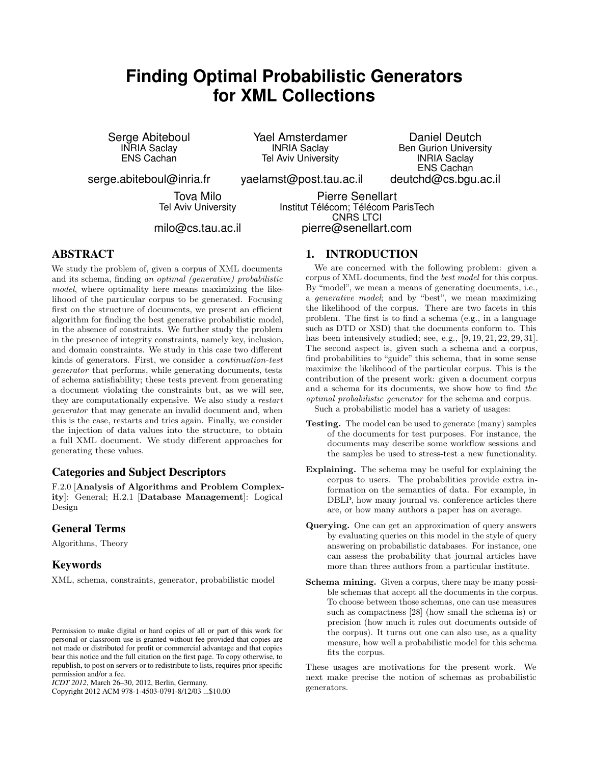# **Finding Optimal Probabilistic Generators for XML Collections**

Serge Abiteboul INRIA Saclay ENS Cachan

serge.abiteboul@inria.fr

Yael Amsterdamer INRIA Saclay Tel Aviv University

yaelamst@post.tau.ac.il

Daniel Deutch Ben Gurion University INRIA Saclay ENS Cachan deutchd@cs.bgu.ac.il

Tova Milo Tel Aviv University

Pierre Senellart Institut Télécom; Télécom ParisTech CNRS LTCI pierre@senellart.com

# milo@cs.tau.ac.il

# ABSTRACT

We study the problem of, given a corpus of XML documents and its schema, finding an optimal (generative) probabilistic model, where optimality here means maximizing the likelihood of the particular corpus to be generated. Focusing first on the structure of documents, we present an efficient algorithm for finding the best generative probabilistic model, in the absence of constraints. We further study the problem in the presence of integrity constraints, namely key, inclusion, and domain constraints. We study in this case two different kinds of generators. First, we consider a continuation-test generator that performs, while generating documents, tests of schema satisfiability; these tests prevent from generating a document violating the constraints but, as we will see, they are computationally expensive. We also study a restart generator that may generate an invalid document and, when this is the case, restarts and tries again. Finally, we consider the injection of data values into the structure, to obtain a full XML document. We study different approaches for generating these values.

# Categories and Subject Descriptors

F.2.0 [Analysis of Algorithms and Problem Complexity]: General; H.2.1 [Database Management]: Logical Design

# General Terms

Algorithms, Theory

# Keywords

XML, schema, constraints, generator, probabilistic model

Copyright 2012 ACM 978-1-4503-0791-8/12/03 ...\$10.00

1. INTRODUCTION

We are concerned with the following problem: given a corpus of XML documents, find the best model for this corpus. By "model", we mean a means of generating documents, i.e., a generative model; and by "best", we mean maximizing the likelihood of the corpus. There are two facets in this problem. The first is to find a schema (e.g., in a language such as DTD or XSD) that the documents conform to. This has been intensively studied; see, e.g., [\[9,](#page-11-0) [19,](#page-12-0) [21,](#page-12-1) [22,](#page-12-2) [29,](#page-12-3) [31\]](#page-12-4). The second aspect is, given such a schema and a corpus, find probabilities to "guide" this schema, that in some sense maximize the likelihood of the particular corpus. This is the contribution of the present work: given a document corpus and a schema for its documents, we show how to find the

optimal probabilistic generator for the schema and corpus. Such a probabilistic model has a variety of usages:

- Testing. The model can be used to generate (many) samples of the documents for test purposes. For instance, the documents may describe some workflow sessions and the samples be used to stress-test a new functionality.
- Explaining. The schema may be useful for explaining the corpus to users. The probabilities provide extra information on the semantics of data. For example, in DBLP, how many journal vs. conference articles there are, or how many authors a paper has on average.
- Querying. One can get an approximation of query answers by evaluating queries on this model in the style of query answering on probabilistic databases. For instance, one can assess the probability that journal articles have more than three authors from a particular institute.
- Schema mining. Given a corpus, there may be many possible schemas that accept all the documents in the corpus. To choose between those schemas, one can use measures such as compactness [\[28\]](#page-12-5) (how small the schema is) or precision (how much it rules out documents outside of the corpus). It turns out one can also use, as a quality measure, how well a probabilistic model for this schema fits the corpus.

These usages are motivations for the present work. We next make precise the notion of schemas as probabilistic generators.

Permission to make digital or hard copies of all or part of this work for personal or classroom use is granted without fee provided that copies are not made or distributed for profit or commercial advantage and that copies bear this notice and the full citation on the first page. To copy otherwise, to republish, to post on servers or to redistribute to lists, requires prior specific permission and/or a fee.

*ICDT 2012*, March 26–30, 2012, Berlin, Germany.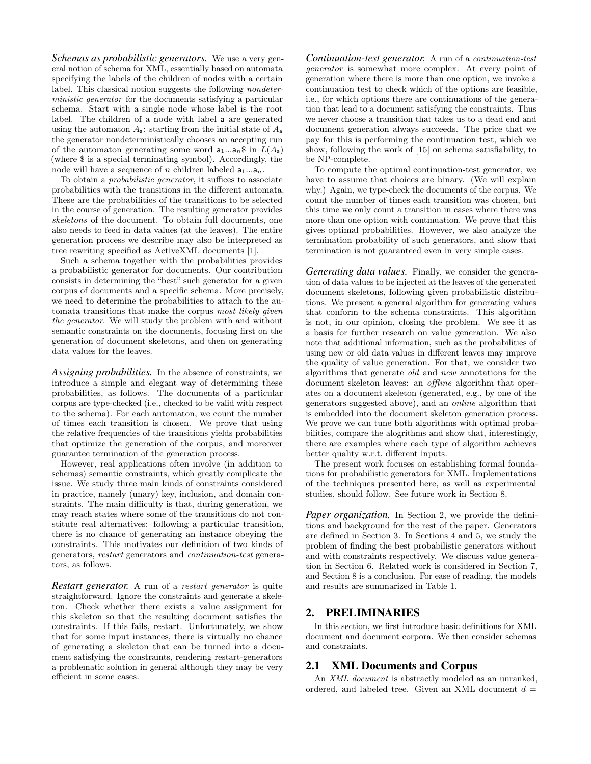*Schemas as probabilistic generators.* We use a very general notion of schema for XML, essentially based on automata specifying the labels of the children of nodes with a certain label. This classical notion suggests the following nondeterministic generator for the documents satisfying a particular schema. Start with a single node whose label is the root label. The children of a node with label a are generated using the automaton  $A_{a}$ : starting from the initial state of  $A_{a}$ the generator nondeterministically chooses an accepting run of the automaton generating some word  $a_1...a_n$  in  $L(A_a)$ (where \$ is a special terminating symbol). Accordingly, the node will have a sequence of n children labeled  $a_1...a_n$ .

To obtain a probabilistic generator, it suffices to associate probabilities with the transitions in the different automata. These are the probabilities of the transitions to be selected in the course of generation. The resulting generator provides skeletons of the document. To obtain full documents, one also needs to feed in data values (at the leaves). The entire generation process we describe may also be interpreted as tree rewriting specified as ActiveXML documents [\[1\]](#page-11-1).

Such a schema together with the probabilities provides a probabilistic generator for documents. Our contribution consists in determining the "best" such generator for a given corpus of documents and a specific schema. More precisely, we need to determine the probabilities to attach to the automata transitions that make the corpus most likely given the generator. We will study the problem with and without semantic constraints on the documents, focusing first on the generation of document skeletons, and then on generating data values for the leaves.

<span id="page-1-1"></span>*Assigning probabilities.* In the absence of constraints, we introduce a simple and elegant way of determining these probabilities, as follows. The documents of a particular corpus are type-checked (i.e., checked to be valid with respect to the schema). For each automaton, we count the number of times each transition is chosen. We prove that using the relative frequencies of the transitions yields probabilities that optimize the generation of the corpus, and moreover guarantee termination of the generation process.

However, real applications often involve (in addition to schemas) semantic constraints, which greatly complicate the issue. We study three main kinds of constraints considered in practice, namely (unary) key, inclusion, and domain constraints. The main difficulty is that, during generation, we may reach states where some of the transitions do not constitute real alternatives: following a particular transition, there is no chance of generating an instance obeying the constraints. This motivates our definition of two kinds of generators, restart generators and continuation-test generators, as follows.

*Restart generator.* A run of a restart generator is quite straightforward. Ignore the constraints and generate a skeleton. Check whether there exists a value assignment for this skeleton so that the resulting document satisfies the constraints. If this fails, restart. Unfortunately, we show that for some input instances, there is virtually no chance of generating a skeleton that can be turned into a document satisfying the constraints, rendering restart-generators a problematic solution in general although they may be very efficient in some cases.

*Continuation-test generator.* A run of a continuation-test generator is somewhat more complex. At every point of generation where there is more than one option, we invoke a continuation test to check which of the options are feasible, i.e., for which options there are continuations of the generation that lead to a document satisfying the constraints. Thus we never choose a transition that takes us to a dead end and document generation always succeeds. The price that we pay for this is performing the continuation test, which we show, following the work of [\[15\]](#page-11-2) on schema satisfiability, to be NP-complete.

To compute the optimal continuation-test generator, we have to assume that choices are binary. (We will explain why.) Again, we type-check the documents of the corpus. We count the number of times each transition was chosen, but this time we only count a transition in cases where there was more than one option with continuation. We prove that this gives optimal probabilities. However, we also analyze the termination probability of such generators, and show that termination is not guaranteed even in very simple cases.

*Generating data values.* Finally, we consider the generation of data values to be injected at the leaves of the generated document skeletons, following given probabilistic distributions. We present a general algorithm for generating values that conform to the schema constraints. This algorithm is not, in our opinion, closing the problem. We see it as a basis for further research on value generation. We also note that additional information, such as the probabilities of using new or old data values in different leaves may improve the quality of value generation. For that, we consider two algorithms that generate old and new annotations for the document skeleton leaves: an *offline* algorithm that operates on a document skeleton (generated, e.g., by one of the generators suggested above), and an online algorithm that is embedded into the document skeleton generation process. We prove we can tune both algorithms with optimal probabilities, compare the alogrithms and show that, interestingly, there are examples where each type of algorithm achieves better quality w.r.t. different inputs.

The present work focuses on establishing formal foundations for probabilistic generators for XML. Implementations of the techniques presented here, as well as experimental studies, should follow. See future work in Section [8.](#page-11-3)

*Paper organization.* In Section [2,](#page-1-0) we provide the definitions and background for the rest of the paper. Generators are defined in Section [3.](#page-3-0) In Sections [4](#page-5-0) and [5,](#page-6-0) we study the problem of finding the best probabilistic generators without and with constraints respectively. We discuss value generation in Section [6.](#page-9-0) Related work is considered in Section [7,](#page-10-0) and Section [8](#page-11-3) is a conclusion. For ease of reading, the models and results are summarized in Table [1.](#page-1-1)

#### <span id="page-1-0"></span>2. PRELIMINARIES

In this section, we first introduce basic definitions for XML document and document corpora. We then consider schemas and constraints.

# 2.1 XML Documents and Corpus

An XML document is abstractly modeled as an unranked, ordered, and labeled tree. Given an XML document  $d =$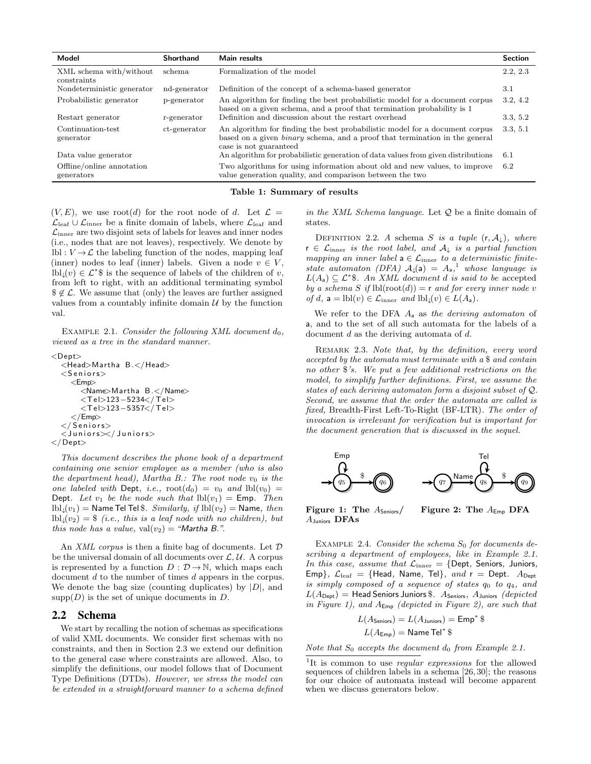| Model                                   | <b>Shorthand</b> | Main results                                                                                                                                                                                | <b>Section</b> |
|-----------------------------------------|------------------|---------------------------------------------------------------------------------------------------------------------------------------------------------------------------------------------|----------------|
| XML schema with/without<br>constraints  | schema           | Formalization of the model                                                                                                                                                                  | 2.2, 2.3       |
| Nondeterministic generator              | nd-generator     | Definition of the concept of a schema-based generator                                                                                                                                       | 3.1            |
| Probabilistic generator                 | p-generator      | An algorithm for finding the best probabilistic model for a document corpus<br>based on a given schema, and a proof that termination probability is 1                                       | 3.2, 4.2       |
| Restart generator                       | r-generator      | Definition and discussion about the restart overhead                                                                                                                                        | 3.3, 5.2       |
| Continuation-test<br>generator          | ct-generator     | An algorithm for finding the best probabilistic model for a document corpus<br>based on a given <i>binary</i> schema, and a proof that termination in the general<br>case is not guaranteed | 3.3, 5.1       |
| Data value generator                    |                  | An algorithm for probabilistic generation of data values from given distributions                                                                                                           | 6.1            |
| Offline/online annotation<br>generators |                  | Two algorithms for using information about old and new values, to improve<br>value generation quality, and comparison between the two                                                       | 6.2            |

Table 1: Summary of results

 $(V, E)$ , we use root(d) for the root node of d. Let  $\mathcal{L} =$  $\mathcal{L}_{\text{leaf}} \cup \mathcal{L}_{\text{inner}}$  be a finite domain of labels, where  $\mathcal{L}_{\text{leaf}}$  and  $\mathcal{L}_{\text{inner}}$  are two disjoint sets of labels for leaves and inner nodes (i.e., nodes that are not leaves), respectively. We denote by lbl :  $V \rightarrow \mathcal{L}$  the labeling function of the nodes, mapping leaf (inner) nodes to leaf (inner) labels. Given a node  $v \in V$ , lbl<sub>↓</sub> $(v) \in \mathcal{L}^*$  is the sequence of labels of the children of v, from left to right, with an additional terminating symbol  $\{\mathcal{L} \in \mathcal{L}\}$ . We assume that (only) the leaves are further assigned values from a countably infinite domain  $\mathcal U$  by the function val.

<span id="page-2-2"></span>EXAMPLE 2.1. Consider the following XML document  $d_0$ , viewed as a tree in the standard manner.

```
<Dept>
<Head>Martha B.</Head>
<Seniors><Emp>
      <Name>Martha B.</Name>
     <Tel>123−5234</ Tel>
      <Tel>123−5357</ Tel>
   \lt/Emp>\langle Seniors>
\overline{\langle}Juniors\asymp/Juniors>\langle/Dept\rangle
```
This document describes the phone book of a department containing one senior employee as a member (who is also the department head), Martha B.: The root node  $v_0$  is the one labeled with Dept, i.e.,  $\text{root}(d_0) = v_0$  and  $\text{lb}(v_0) =$ Dept. Let  $v_1$  be the node such that  $\text{lb}(v_1) = \text{Emp.}$  Then  $\text{lbl}_{\downarrow}(v_1) = \text{Name Tel Tel }$  Section  $\text{Similary}_v$ , if  $\text{lbl}(v_2) = \text{Name}, \text{ then}$  $\text{lbl}_{\downarrow}(v_2) = \text{\$}$  (i.e., this is a leaf node with no children), but this node has a value,  $val(v_2) = "M \text{artha } B."$ 

An *XML corpus* is then a finite bag of documents. Let  $D$ be the universal domain of all documents over  $\mathcal{L}, \mathcal{U}$ . A corpus is represented by a function  $D : \mathcal{D} \to \mathbb{N}$ , which maps each document d to the number of times d appears in the corpus. We denote the bag size (counting duplicates) by  $|D|$ , and  $supp(D)$  is the set of unique documents in D.

# <span id="page-2-0"></span>2.2 Schema

We start by recalling the notion of schemas as specifications of valid XML documents. We consider first schemas with no constraints, and then in Section [2.3](#page-3-1) we extend our definition to the general case where constraints are allowed. Also, to simplify the definitions, our model follows that of Document Type Definitions (DTDs). However, we stress the model can be extended in a straightforward manner to a schema defined

in the XML Schema language. Let  $Q$  be a finite domain of states.

DEFINITION 2.2. A schema S is a tuple  $(r, A_{\downarrow})$ , where  $r \in \mathcal{L}_{inner}$  is the root label, and  $\mathcal{A}_{\downarrow}$  is a partial function mapping an inner label  $a \in \mathcal{L}_{inner}$  to a deterministic finitestate automaton (DFA)  $A_{\downarrow}(a) = A_{a}^{\quad 1}$  $A_{\downarrow}(a) = A_{a}^{\quad 1}$  $A_{\downarrow}(a) = A_{a}^{\quad 1}$ , whose language is  $L(A_a) \subseteq \mathcal{L}^*\$ . An XML document d is said to be accepted by a schema S if  $\text{lb}(\text{root}(d)) = r$  and for every inner node v of d,  $a = \text{lb}(v) \in \mathcal{L}_{\text{inner}}$  and  $\text{lbl}_{\downarrow}(v) \in L(A_a)$ .

We refer to the DFA  $A_a$  as the deriving automaton of a, and to the set of all such automata for the labels of a document  $d$  as the deriving automata of  $d$ .

Remark 2.3. Note that, by the definition, every word accepted by the automata must terminate with a \$ and contain no other \$'s. We put a few additional restrictions on the model, to simplify further definitions. First, we assume the states of each deriving automaton form a disjoint subset of Q. Second, we assume that the order the automata are called is fixed, Breadth-First Left-To-Right (BF-LTR). The order of invocation is irrelevant for verification but is important for the document generation that is discussed in the sequel.



<span id="page-2-3"></span>Figure 1: The Aseniors/  $A$ <sub>Juniors</sub>  $\bf{DFAs}$ Figure 2: The AEmp DFA

<span id="page-2-5"></span>EXAMPLE 2.4. Consider the schema  $S_0$  for documents describing a department of employees, like in Example [2.1.](#page-2-2) In this case, assume that  $\mathcal{L}_{\text{inner}} = \{\text{Depth}, \text{ Seniors}, \text{ Juniors}, \text{ }$ Emp},  $\mathcal{L}_{\text{leaf}} = \{\text{Head}, \text{Name}, \text{Tel}\}, \text{ and } \text{r} = \text{Depth}.$   $A_{\text{Det}}$ is simply composed of a sequence of states  $q_0$  to  $q_4$ , and  $L(A_{\text{Depth}})$  = Head Seniors Juniors \$. A<sub>Seniors</sub>, A<sub>Juniors</sub> (depicted in Figure [1\)](#page-2-3), and  $A_{\text{Emp}}$  (depicted in Figure [2\)](#page-2-4), are such that

$$
L(A_{\text{Seniors}}) = L(A_{\text{Juniors}}) = \text{Emp}^*
$$

$$
L(A_{\text{Emp}}) = \text{Name Tel}^* \$
$$

<span id="page-2-4"></span>\$

Note that  $S_0$  accepts the document  $d_0$  from Example [2.1.](#page-2-2)

<span id="page-2-1"></span><sup>&</sup>lt;sup>1</sup>It is common to use *regular expressions* for the allowed sequences of children labels in a schema [\[26,](#page-12-6) [30\]](#page-12-7); the reasons for our choice of automata instead will become apparent when we discuss generators below.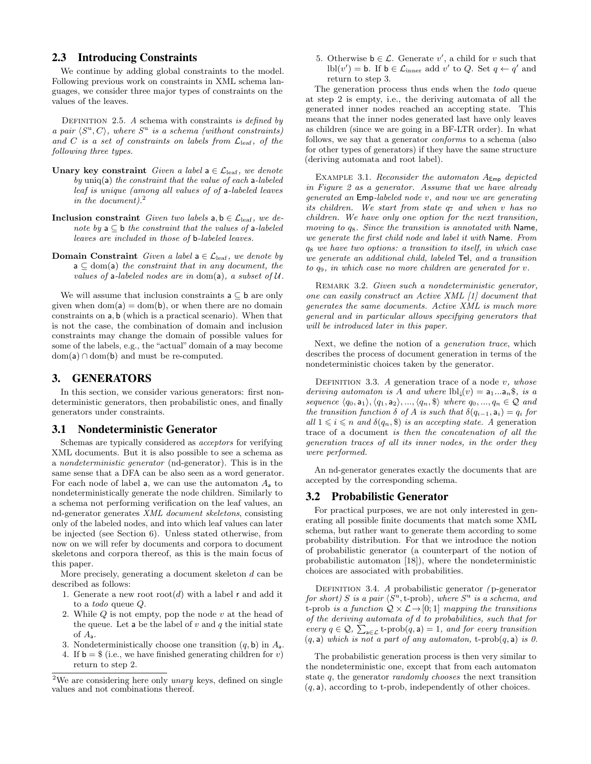### <span id="page-3-1"></span>2.3 Introducing Constraints

We continue by adding global constraints to the model. Following previous work on constraints in XML schema languages, we consider three major types of constraints on the values of the leaves.

DEFINITION 2.5. A schema with constraints is defined by a pair  $\langle S^u, C \rangle$ , where  $S^u$  is a schema (without constraints) and C is a set of constraints on labels from  $\mathcal{L}_{\text{leaf}}$ , of the following three types.

- Unary key constraint Given a label  $a \in \mathcal{L}_{\text{leaf}}$ , we denote by uniq(a) the constraint that the value of each a-labeled leaf is unique (among all values of of a-labeled leaves in the document). $^{2}$  $^{2}$  $^{2}$
- Inclusion constraint Given two labels  $a, b \in \mathcal{L}_{\text{leaf}}$ , we denote by  $a \subseteq b$  the constraint that the values of a-labeled leaves are included in those of b-labeled leaves.
- **Domain Constraint** Given a label  $a \in \mathcal{L}_{\text{leaf}}$ , we denote by  $a \subseteq \text{dom}(a)$  the constraint that in any document, the values of a-labeled nodes are in dom(a), a subset of  $U$ .

We will assume that inclusion constraints  $a \subseteq b$  are only given when  $dom(a) = dom(b)$ , or when there are no domain constraints on a, b (which is a practical scenario). When that is not the case, the combination of domain and inclusion constraints may change the domain of possible values for some of the labels, e.g., the "actual" domain of a may become  $dom(a) \cap dom(b)$  and must be re-computed.

#### <span id="page-3-0"></span>3. GENERATORS

In this section, we consider various generators: first nondeterministic generators, then probabilistic ones, and finally generators under constraints.

#### <span id="page-3-2"></span>3.1 Nondeterministic Generator

Schemas are typically considered as acceptors for verifying XML documents. But it is also possible to see a schema as a nondeterministic generator (nd-generator). This is in the same sense that a DFA can be also seen as a word generator. For each node of label **a**, we can use the automaton  $A_{\mathsf{a}}$  to nondeterministically generate the node children. Similarly to a schema not performing verification on the leaf values, an nd-generator generates XML document skeletons, consisting only of the labeled nodes, and into which leaf values can later be injected (see Section [6\)](#page-9-0). Unless stated otherwise, from now on we will refer by documents and corpora to document skeletons and corpora thereof, as this is the main focus of this paper.

More precisely, generating a document skeleton  $d$  can be described as follows:

- 1. Generate a new root  $root(d)$  with a label r and add it to a todo queue Q.
- 2. While  $Q$  is not empty, pop the node  $v$  at the head of the queue. Let a be the label of  $v$  and  $q$  the initial state of  $A_{2}$ .
- 3. Nondeterministically choose one transition  $(q, b)$  in  $A_a$ .
- 4. If  $b = \frac{6}{3}$  (i.e., we have finished generating children for v) return to step 2.

5. Otherwise  $\mathbf{b} \in \mathcal{L}$ . Generate v', a child for v such that  $\text{lb}(v') = \mathsf{b}$ . If  $\mathsf{b} \in \mathcal{L}_{\text{inner}}$  add  $v'$  to Q. Set  $q \leftarrow q'$  and return to step 3.

The generation process thus ends when the todo queue at step 2 is empty, i.e., the deriving automata of all the generated inner nodes reached an accepting state. This means that the inner nodes generated last have only leaves as children (since we are going in a BF-LTR order). In what follows, we say that a generator conforms to a schema (also for other types of generators) if they have the same structure (deriving automata and root label).

EXAMPLE 3.1. Reconsider the automaton  $A_{\text{Emp }}$  depicted in Figure [2](#page-2-4) as a generator. Assume that we have already generated an Emp-labeled node v, and now we are generating its children. We start from state  $q_7$  and when v has no children. We have only one option for the next transition, moving to  $q_8$ . Since the transition is annotated with Name, we generate the first child node and label it with Name. From q<sup>8</sup> we have two options: a transition to itself, in which case we generate an additional child, labeled Tel, and a transition to  $q_9$ , in which case no more children are generated for  $v$ .

<span id="page-3-5"></span>REMARK 3.2. Given such a nondeterministic generator, one can easily construct an Active XML [\[1\]](#page-11-1) document that generates the same documents. Active XML is much more general and in particular allows specifying generators that will be introduced later in this paper.

Next, we define the notion of a generation trace, which describes the process of document generation in terms of the nondeterministic choices taken by the generator.

DEFINITION 3.3. A generation trace of a node  $v$ , whose deriving automaton is A and where  $\text{lb}\downarrow(v) = \mathsf{a}_1...\mathsf{a}_n\$ , is a sequence  $\langle q_0, \mathsf{a}_1 \rangle, \langle q_1, \mathsf{a}_2 \rangle, ..., \langle q_n, \$\rangle$  where  $q_0, ..., q_n \in \mathcal{Q}$  and the transition function  $\delta$  of A is such that  $\delta(q_{i-1}, a_i) = q_i$  for all  $1 \leq i \leq n$  and  $\delta(q_n, \S)$  is an accepting state. A generation trace of a document is then the concatenation of all the generation traces of all its inner nodes, in the order they were performed.

An nd-generator generates exactly the documents that are accepted by the corresponding schema.

#### <span id="page-3-3"></span>3.2 Probabilistic Generator

For practical purposes, we are not only interested in generating all possible finite documents that match some XML schema, but rather want to generate them according to some probability distribution. For that we introduce the notion of probabilistic generator (a counterpart of the notion of probabilistic automaton [\[18\]](#page-12-8)), where the nondeterministic choices are associated with probabilities.

DEFINITION 3.4. A probabilistic generator  $(p$ -generator for short) S is a pair  $\langle S^u, t\text{-prob} \rangle$ , where  $S^u$  is a schema, and t-prob is a function  $\mathcal{Q} \times \mathcal{L} \rightarrow [0; 1]$  mapping the transitions of the deriving automata of d to probabilities, such that for every  $q \in \mathcal{Q}, \sum_{a \in \mathcal{L}} \text{t-prob}(q, a) = 1$ , and for every transition  $(q, a)$  which is not a part of any automaton, t-prob $(q, a)$  is 0.

The probabilistic generation process is then very similar to the nondeterministic one, except that from each automaton state q, the generator randomly chooses the next transition  $(q, a)$ , according to t-prob, independently of other choices.

<span id="page-3-4"></span><sup>&</sup>lt;sup>2</sup>We are considering here only *unary* keys, defined on single values and not combinations thereof.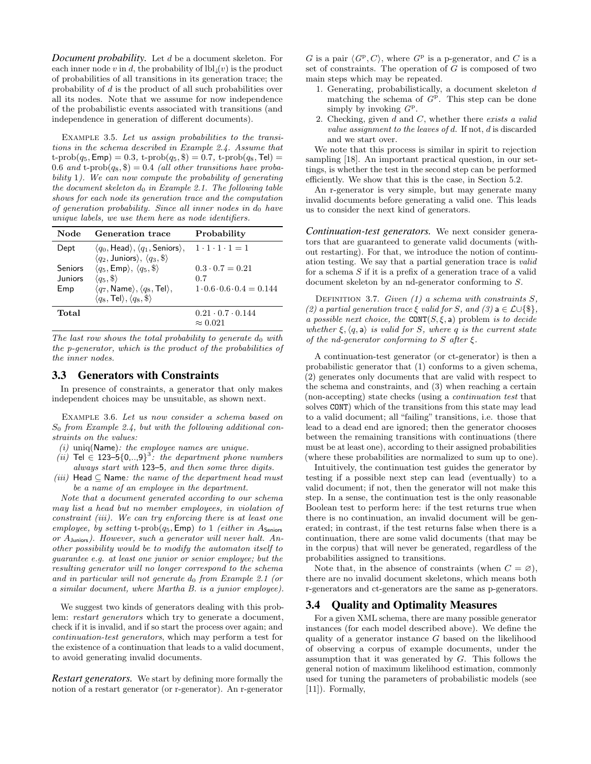*Document probability.* Let d be a document skeleton. For each inner node v in d, the probability of  $\text{lb}_\perp(v)$  is the product of probabilities of all transitions in its generation trace; the probability of d is the product of all such probabilities over all its nodes. Note that we assume for now independence of the probabilistic events associated with transitions (and independence in generation of different documents).

EXAMPLE 3.5. Let us assign probabilities to the transitions in the schema described in Example [2.4.](#page-2-5) Assume that  $t\text{-prob}(q_5, \text{Emp}) = 0.3$ ,  $t\text{-prob}(q_5, \$) = 0.7$ ,  $t\text{-prob}(q_8, \text{Tel}) = 0.5$ 0.6 and t-prob $(q_8, \$) = 0.4$  (all other transitions have probability 1). We can now compute the probability of generating the document skeleton  $d_0$  in Example [2.1.](#page-2-2) The following table shows for each node its generation trace and the computation of generation probability. Since all inner nodes in  $d_0$  have unique labels, we use them here as node identifiers.

| Node           | Generation trace                                                                                                                      | Probability                     |
|----------------|---------------------------------------------------------------------------------------------------------------------------------------|---------------------------------|
| Dept           | $\langle q_0, \text{Head} \rangle, \langle q_1, \text{Seniors} \rangle,$<br>$\langle q_2,$ Juniors $\rangle, \langle q_3, \$ \rangle$ | $1 \cdot 1 \cdot 1 \cdot 1 = 1$ |
| <b>Seniors</b> | $\langle q_5, \mathsf{Emp} \rangle, \langle q_5, \$\rangle$                                                                           | $0.3 \cdot 0.7 = 0.21$          |
| Juniors        | $\langle q_5, \$ \rangle$                                                                                                             | 0.7                             |
| Emp            | $\langle q_7, \text{Name} \rangle, \langle q_8, \text{Tel} \rangle,$                                                                  | $1.0.6.0.6.0.4 = 0.144$         |
|                | $\langle q_8, \textsf{Tel} \rangle, \langle q_8, \$ \rangle$                                                                          |                                 |
| Total          |                                                                                                                                       | $0.21 \cdot 0.7 \cdot 0.144$    |
|                |                                                                                                                                       | $\approx 0.021$                 |

The last row shows the total probability to generate  $d_0$  with the p-generator, which is the product of the probabilities of the inner nodes.

# <span id="page-4-3"></span>3.3 Generators with Constraints

In presence of constraints, a generator that only makes independent choices may be unsuitable, as shown next.

Example 3.6. Let us now consider a schema based on  $S_0$  from Example [2.4,](#page-2-5) but with the following additional constraints on the values:

- $(i)$  uniq(Name): the employee names are unique.
- (ii) Tel ∈ 123–5{0,..,9}<sup>3</sup>: the department phone numbers always start with 123–5, and then some three digits.
- <span id="page-4-2"></span>(iii) Head  $\subseteq$  Name: the name of the department head must be a name of an employee in the department.

Note that a document generated according to our schema may list a head but no member employees, in violation of constraint [\(iii\)](#page-4-2). We can try enforcing there is at least one employee, by setting t-prob( $q_5$ , Emp) to 1 (either in Aseniors or AJuniors). However, such a generator will never halt. Another possibility would be to modify the automaton itself to guarantee e.g. at least one junior or senior employee; but the resulting generator will no longer correspond to the schema and in particular will not generate  $d_0$  from Example [2.1](#page-2-2) (or a similar document, where Martha B. is a junior employee).

We suggest two kinds of generators dealing with this problem: restart generators which try to generate a document, check if it is invalid, and if so start the process over again; and continuation-test generators, which may perform a test for the existence of a continuation that leads to a valid document, to avoid generating invalid documents.

<span id="page-4-0"></span>*Restart generators.* We start by defining more formally the notion of a restart generator (or r-generator). An r-generator

G is a pair  $\langle G^{\rm p}, C \rangle$ , where  $G^{\rm p}$  is a p-generator, and C is a set of constraints. The operation of  $G$  is composed of two main steps which may be repeated.

- 1. Generating, probabilistically, a document skeleton d matching the schema of  $G<sup>p</sup>$ . This step can be done simply by invoking  $G^{\rm p}$ .
- 2. Checking, given d and C, whether there exists a valid value assignment to the leaves of d. If not, d is discarded and we start over.

We note that this process is similar in spirit to rejection sampling [\[18\]](#page-12-8). An important practical question, in our settings, is whether the test in the second step can be performed efficiently. We show that this is the case, in Section [5.2.](#page-8-0)

An r-generator is very simple, but may generate many invalid documents before generating a valid one. This leads us to consider the next kind of generators.

<span id="page-4-1"></span>*Continuation-test generators.* We next consider generators that are guaranteed to generate valid documents (without restarting). For that, we introduce the notion of continuation testing. We say that a partial generation trace is valid for a schema S if it is a prefix of a generation trace of a valid document skeleton by an nd-generator conforming to S.

DEFINITION 3.7. Given  $(1)$  a schema with constraints S, (2) a partial generation trace  $\xi$  valid for S, and (3) a  $\in \mathcal{L}\cup \{\$\}.$ a possible next choice, the CONT( $S, \xi, a$ ) problem is to decide whether  $\xi, \langle q, a \rangle$  is valid for S, where q is the current state of the nd-generator conforming to S after  $\xi$ .

A continuation-test generator (or ct-generator) is then a probabilistic generator that (1) conforms to a given schema, (2) generates only documents that are valid with respect to the schema and constraints, and (3) when reaching a certain (non-accepting) state checks (using a continuation test that solves CONT) which of the transitions from this state may lead to a valid document; all "failing" transitions, i.e. those that lead to a dead end are ignored; then the generator chooses between the remaining transitions with continuations (there must be at least one), according to their assigned probabilities (where these probabilities are normalized to sum up to one).

Intuitively, the continuation test guides the generator by testing if a possible next step can lead (eventually) to a valid document; if not, then the generator will not make this step. In a sense, the continuation test is the only reasonable Boolean test to perform here: if the test returns true when there is no continuation, an invalid document will be generated; in contrast, if the test returns false when there is a continuation, there are some valid documents (that may be in the corpus) that will never be generated, regardless of the probabilities assigned to transitions.

Note that, in the absence of constraints (when  $C = \varnothing$ ), there are no invalid document skeletons, which means both r-generators and ct-generators are the same as p-generators.

#### 3.4 Quality and Optimality Measures

For a given XML schema, there are many possible generator instances (for each model described above). We define the quality of a generator instance G based on the likelihood of observing a corpus of example documents, under the assumption that it was generated by G. This follows the general notion of maximum likelihood estimation, commonly used for tuning the parameters of probabilistic models (see [\[11\]](#page-11-4)). Formally,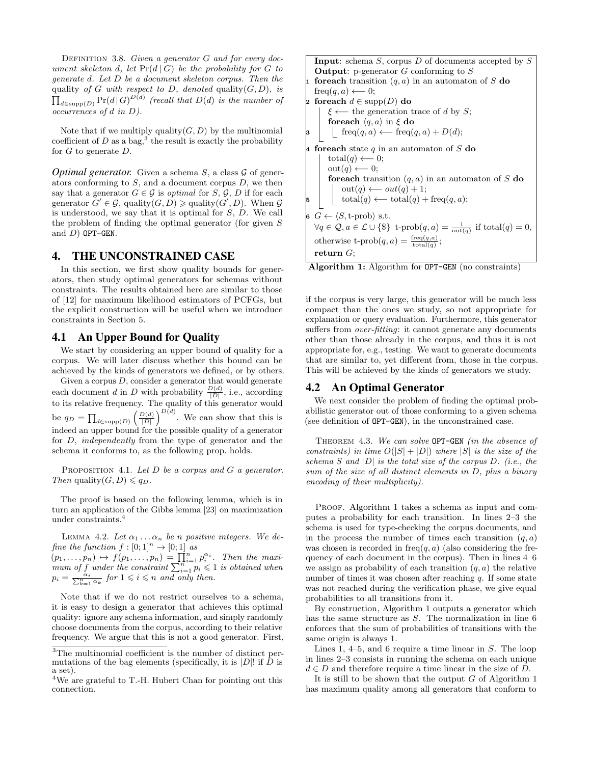DEFINITION 3.8. Given a generator  $G$  and for every document skeleton d, let  $Pr(d | G)$  be the probability for G to generate d. Let D be a document skeleton corpus. Then the quality of G with respect to D, denoted quality( $G, D$ ), is  $\prod_{d \in \text{supp}(D)} \Pr(d | G)^{D(d)}$  (recall that  $D(d)$  is the number of  $occurrences of d in D).$ 

Note that if we multiply quality $(G, D)$  by the multinomial coefficient of  $D$  as a bag,<sup>[3](#page-5-2)</sup> the result is exactly the probability for G to generate D.

*Optimal generator.* Given a schema  $S$ , a class  $G$  of generators conforming to  $S$ , and a document corpus  $D$ , we then say that a generator  $G \in \mathcal{G}$  is *optimal* for S,  $\mathcal{G}$ , D if for each generator  $G' \in \mathcal{G}$ , quality $(G, D) \geq \text{quality}(G', D)$ . When  $\mathcal{G}$ is understood, we say that it is optimal for  $S$ ,  $D$ . We call the problem of finding the optimal generator (for given S and  $D)$  OPT-GEN.

### <span id="page-5-0"></span>4. THE UNCONSTRAINED CASE

In this section, we first show quality bounds for generators, then study optimal generators for schemas without constraints. The results obtained here are similar to those of [\[12\]](#page-11-5) for maximum likelihood estimators of PCFGs, but the explicit construction will be useful when we introduce constraints in Section [5.](#page-6-0)

#### 4.1 An Upper Bound for Quality

We start by considering an upper bound of quality for a corpus. We will later discuss whether this bound can be achieved by the kinds of generators we defined, or by others.

Given a corpus D, consider a generator that would generate each document d in D with probability  $\frac{D(d)}{|D|}$ , i.e., according to its relative frequency. The quality of this generator would be  $q_D = \prod_{d \in \text{supp}(D)} \left(\frac{D(d)}{|D|}\right)^{D(d)}$ . We can show that this is indeed an upper bound for the possible quality of a generator for D, independently from the type of generator and the schema it conforms to, as the following prop. holds.

<span id="page-5-13"></span>PROPOSITION 4.1. Let  $D$  be a corpus and  $G$  a generator. Then quality  $(G, D) \leqslant q_D$ .

<span id="page-5-11"></span>The proof is based on the following lemma, which is in turn an application of the Gibbs lemma [\[23\]](#page-12-9) on maximization under constraints.[4](#page-5-3)

LEMMA 4.2. Let  $\alpha_1 \ldots \alpha_n$  be n positive integers. We define the function  $f : [0;1]^n \rightarrow [0;1]$  as  $(p_1, \ldots, p_n) \mapsto f(p_1, \ldots, p_n) = \prod_{i=1}^n p_i^{\alpha_i}$ . Then the maxi-

mum of f under the constraint  $\sum_{i=1}^{n} p_i \leq 1$  is obtained when  $p_i = \frac{\alpha_i}{\sum_{k=1}^n \alpha_k}$  for  $1 \leqslant i \leqslant n$  and only then.

Note that if we do not restrict ourselves to a schema, it is easy to design a generator that achieves this optimal quality: ignore any schema information, and simply randomly choose documents from the corpus, according to their relative frequency. We argue that this is not a good generator. First,

<span id="page-5-9"></span><span id="page-5-7"></span><span id="page-5-6"></span><span id="page-5-5"></span>**Input:** schema  $S$ , corpus  $D$  of documents accepted by  $S$ **Output:** p-generator  $G$  conforming to  $S$ for each transition  $(q, a)$  in an automaton of S do  $freq(q, a) \longleftarrow 0;$ foreach  $d \in \text{supp}(D)$  do  $\xi \longleftarrow$  the generation trace of d by S; foreach  $\langle q, a \rangle$  in  $\xi$  do  $\mathbf{s}$  | freq $(q, a) \longleftarrow \text{freq}(q, a) + D(d);$ 4 for each state  $q$  in an automaton of  $S$  do  $\mathrm{total}(q) \longleftarrow 0;$ out $(q)$  ← 0; for each transition  $(q, a)$  in an automaton of S do out(q)  $\longleftarrow$  *out*(q) + 1;  $\mathrm{total}(q) \longleftarrow \mathrm{total}(q) + \mathrm{freq}(q, a);$  $G \leftarrow \langle S, t\text{-prob} \rangle \text{ s.t.}$  $\forall q \in \mathcal{Q}, a \in \mathcal{L} \cup \{\$\}$  t-prob $(q, a) = \frac{1}{\text{out}(q)}$  if total $(q) = 0$ , otherwise  $\text{t-prob}(q, a) = \frac{\text{freq}(q, a)}{\text{total}(q)}$ ;  ${\bf return} \; G;$ 

<span id="page-5-10"></span><span id="page-5-8"></span><span id="page-5-4"></span>Algorithm 1: Algorithm for OPT-GEN (no constraints)

if the corpus is very large, this generator will be much less compact than the ones we study, so not appropriate for explanation or query evaluation. Furthermore, this generator suffers from *over-fitting*: it cannot generate any documents other than those already in the corpus, and thus it is not appropriate for, e.g., testing. We want to generate documents that are similar to, yet different from, those in the corpus. This will be achieved by the kinds of generators we study.

# <span id="page-5-1"></span>4.2 An Optimal Generator

We next consider the problem of finding the optimal probabilistic generator out of those conforming to a given schema (see definition of OPT-GEN), in the unconstrained case.

<span id="page-5-12"></span>Theorem 4.3. We can solve OPT-GEN (in the absence of constraints) in time  $O(|S| + |D|)$  where  $|S|$  is the size of the schema S and  $|D|$  is the total size of the corpus D. (i.e., the sum of the size of all distinct elements in D, plus a binary encoding of their multiplicity).

PROOF. Algorithm [1](#page-5-4) takes a schema as input and computes a probability for each transition. In lines [2–](#page-5-5)[3](#page-5-6) the schema is used for type-checking the corpus documents, and in the process the number of times each transition  $(q, a)$ was chosen is recorded in  $freq(q, a)$  (also considering the frequency of each document in the corpus). Then in lines [4–](#page-5-7)[6](#page-5-8) we assign as probability of each transition  $(q, a)$  the relative number of times it was chosen after reaching  $q$ . If some state was not reached during the verification phase, we give equal probabilities to all transitions from it.

By construction, Algorithm [1](#page-5-4) outputs a generator which has the same structure as S. The normalization in line [6](#page-5-8) enforces that the sum of probabilities of transitions with the same origin is always 1.

Lines [1,](#page-5-9)  $4-5$ , and [6](#page-5-8) require a time linear in S. The loop in lines [2–](#page-5-5)[3](#page-5-6) consists in running the schema on each unique  $d \in D$  and therefore require a time linear in the size of D.

It is still to be shown that the output  $G$  of Algorithm [1](#page-5-4) has maximum quality among all generators that conform to

<span id="page-5-2"></span><sup>3</sup>The multinomial coefficient is the number of distinct permutations of the bag elements (specifically, it is  $|D|!$  if  $\bar{D}$  is a set).

<span id="page-5-3"></span><sup>4</sup>We are grateful to T.-H. Hubert Chan for pointing out this connection.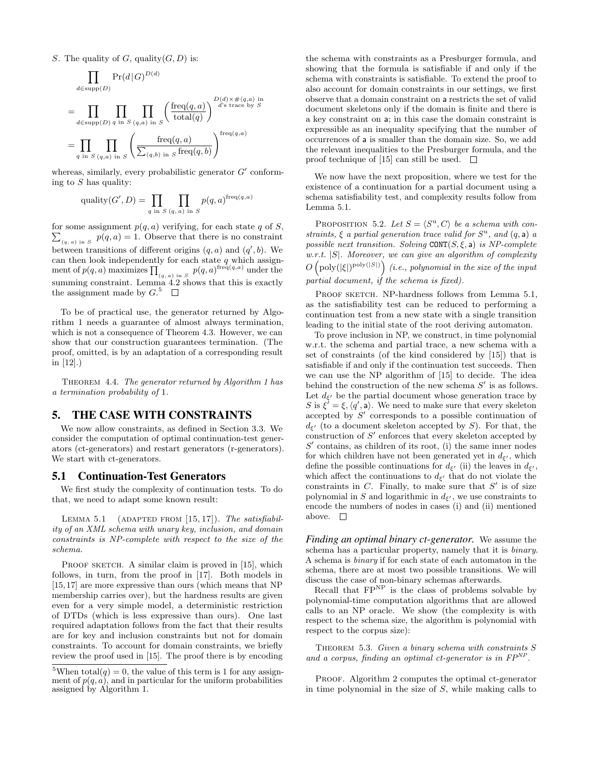S. The quality of G, quality $(G, D)$  is:

$$
\prod_{d \in \text{supp}(D)} \Pr(d|G)^{D(d)}
$$
\n
$$
= \prod_{d \in \text{supp}(D)} \prod_{q \text{ in } S} \prod_{(q,a) \text{ in } S} \left( \frac{\text{freq}(q,a)}{\text{total}(q)} \right)^{D(d) \times \# \langle q,a \rangle \text{ in } S}
$$
\n
$$
= \prod_{q \text{ in } S} \prod_{(q,a) \text{ in } S} \left( \frac{\text{freq}(q,a)}{\sum_{(q,b) \text{ in } S} \text{freq}(q,b)} \right)^{\text{freq}(q,a)}
$$

whereas, similarly, every probabilistic generator  $G'$  conforming to S has quality:

quality
$$
(G', D) = \prod_{q \text{ in } S} \prod_{(q, a) \text{ in } S} p(q, a)^{\text{freq}(q, a)}
$$

for some assignment  $p(q, a)$  verifying, for each state q of S,  $\sum_{(q, a) \text{ in } S} p(q, a) = 1.$  Observe that there is no constraint between transitions of different origins  $(q, a)$  and  $(q', b)$ . We can then look independently for each state  $q$  which assignment of  $p(q, a)$  maximizes  $\prod_{(q, a) \text{ in } S} p(q, a)$ <sup>freq(q,a)</sup> under the summing constraint. Lemma [4.2](#page-5-11) shows that this is exactly the assignment made by  $G<sup>5</sup>$  $G<sup>5</sup>$  $G<sup>5</sup>$ 

To be of practical use, the generator returned by Algorithm [1](#page-5-4) needs a guarantee of almost always termination, which is not a consequence of Theorem [4.3.](#page-5-12) However, we can show that our construction guarantees termination. (The proof, omitted, is by an adaptation of a corresponding result in [\[12\]](#page-11-5).)

<span id="page-6-4"></span>THEOREM 4.4. The generator returned by Algorithm [1](#page-5-4) has a termination probability of 1.

# <span id="page-6-0"></span>5. THE CASE WITH CONSTRAINTS

We now allow constraints, as defined in Section [3.3.](#page-4-3) We consider the computation of optimal continuation-test generators (ct-generators) and restart generators (r-generators). We start with ct-generators.

#### <span id="page-6-1"></span>5.1 Continuation-Test Generators

We first study the complexity of continuation tests. To do that, we need to adapt some known result:

<span id="page-6-3"></span>LEMMA 5.1 (ADAPTED FROM  $[15, 17]$  $[15, 17]$ ). The satisfiability of an XML schema with unary key, inclusion, and domain constraints is NP-complete with respect to the size of the schema.

PROOF SKETCH. A similar claim is proved in [\[15\]](#page-11-2), which follows, in turn, from the proof in [\[17\]](#page-12-10). Both models in [\[15,](#page-11-2) [17\]](#page-12-10) are more expressive than ours (which means that NP membership carries over), but the hardness results are given even for a very simple model, a deterministic restriction of DTDs (which is less expressive than ours). One last required adaptation follows from the fact that their results are for key and inclusion constraints but not for domain constraints. To account for domain constraints, we briefly review the proof used in [\[15\]](#page-11-2). The proof there is by encoding the schema with constraints as a Presburger formula, and showing that the formula is satisfiable if and only if the schema with constraints is satisfiable. To extend the proof to also account for domain constraints in our settings, we first observe that a domain constraint on a restricts the set of valid document skeletons only if the domain is finite and there is a key constraint on a; in this case the domain constraint is expressible as an inequality specifying that the number of occurrences of a is smaller than the domain size. So, we add the relevant inequalities to the Presburger formula, and the proof technique of [\[15\]](#page-11-2) can still be used.  $\square$ 

We now have the next proposition, where we test for the existence of a continuation for a partial document using a schema satisfiability test, and complexity results follow from Lemma [5.1.](#page-6-3)

<span id="page-6-5"></span>PROPOSITION 5.2. Let  $S = \langle S^u, C \rangle$  be a schema with constraints,  $\xi$  a partial generation trace valid for  $S^u$ , and  $(q, a)$  a possible next transition. Solving CONT( $S, \xi, a$ ) is NP-complete w.r.t. |S|. Moreover, we can give an algorithm of complexity  $O\left(\text{poly}(|\xi|)^{\text{poly}(|S|)}\right)$  (i.e., polynomial in the size of the input partial document, if the schema is fixed).

PROOF SKETCH. NP-hardness follows from Lemma [5.1,](#page-6-3) as the satisfiability test can be reduced to performing a continuation test from a new state with a single transition leading to the initial state of the root deriving automaton.

To prove inclusion in NP, we construct, in time polynomial w.r.t. the schema and partial trace, a new schema with a set of constraints (of the kind considered by [\[15\]](#page-11-2)) that is satisfiable if and only if the continuation test succeeds. Then we can use the NP algorithm of [\[15\]](#page-11-2) to decide. The idea behind the construction of the new schema  $S'$  is as follows. Let  $d_{\xi'}$  be the partial document whose generation trace by S is  $\xi^j = \xi, \langle q', \mathsf{a} \rangle$ . We need to make sure that every skeleton accepted by  $S'$  corresponds to a possible continuation of  $d_{\xi'}$  (to a document skeleton accepted by S). For that, the construction of  $S'$  enforces that every skeleton accepted by  $S'$  contains, as children of its root, (i) the same inner nodes for which children have not been generated yet in  $d_{\xi'}$ , which define the possible continuations for  $d_{\xi'}$  (ii) the leaves in  $d_{\xi'}$ , which affect the continuations to  $d_{\xi'}$  that do not violate the constraints in  $C$ . Finally, to make sure that  $S'$  is of size polynomial in S and logarithmic in  $d_{\xi'}$ , we use constraints to encode the numbers of nodes in cases (i) and (ii) mentioned above.  $\Box$ 

*Finding an optimal binary ct-generator.* We assume the schema has a particular property, namely that it is binary. A schema is binary if for each state of each automaton in the schema, there are at most two possible transitions. We will discuss the case of non-binary schemas afterwards.

Recall that  $FP<sup>NP</sup>$  is the class of problems solvable by polynomial-time computation algorithms that are allowed calls to an NP oracle. We show (the complexity is with respect to the schema size, the algorithm is polynomial with respect to the corpus size):

THEOREM 5.3. Given a binary schema with constraints  $S$ and a corpus, finding an optimal ct-generator is in  $FP<sup>NP</sup>$ .

PROOF. Algorithm [2](#page-7-0) computes the optimal ct-generator in time polynomial in the size of S, while making calls to

<span id="page-6-2"></span><sup>&</sup>lt;sup>5</sup>When total(q) = 0, the value of this term is 1 for any assignment of  $p(q, a)$ , and in particular for the uniform probabilities assigned by Algorithm [1.](#page-5-4)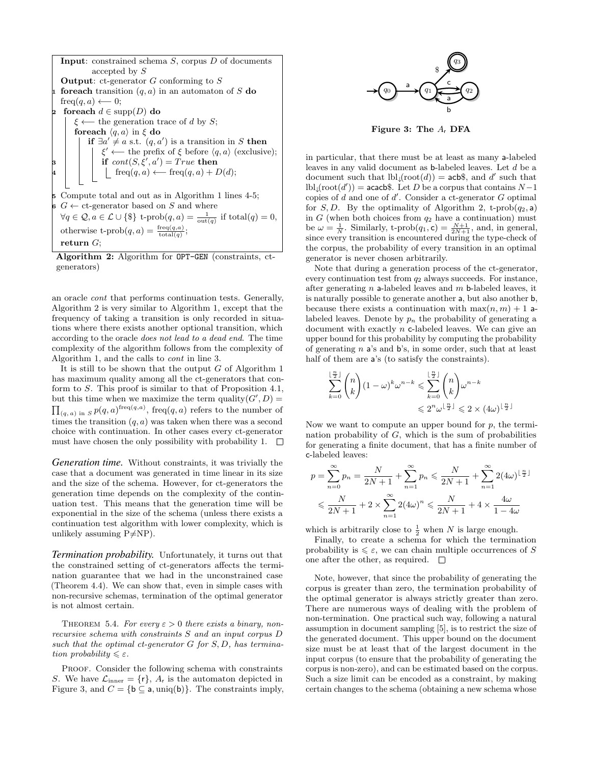```
\nInput: constrained schema S, corpus D of documents\n    accepted by S\nOutput: ct-generation G conforming to S\n\nfor each transition 
$$
(q, a)
$$
 in an automaton of S do\n    freq $(q, a) \leftarrow 0$ ;\n\nfor each  $d \in \text{supp}(D)$  do\n     $\xi \leftarrow$  the generation trace of d by S;\n\nfor each  $\langle q, a \rangle$  in  $\xi$  do\n    if  $\exists a' \neq a$  s.t.  $(q, a')$  is a transition in S then\n     $\xi' \leftarrow$  the prefix of  $\xi$  before  $\langle q, a \rangle$  (exclusive);\n\nif  $\text{cont}(S, \xi', a') = \text{True}$  then\n     $\left\{ \begin{array}{l} \text{if } \text{cont}(S, \xi', a') = \text{True}$  then\n     $\left\{ \begin{array}{l} \text{if } \text{cont}(S, \xi', a') = \text{True}$  then\n     $\text{freq}(q, a) \leftarrow \text{freq}(q, a) + D(d); \end{array} \right. \right\}$ \n\nS Compute total and out as in Algorithm 1 lines 4-5;\n\n $G \leftarrow$  ct-generation based on S and where\n     $\forall q \in \mathcal{Q}, a \in \mathcal{L} \cup \{\$\} \text{ t-prob}(q, a) = \frac{1}{\text{out}(q)} \text{ if } \text{total}(q) = 0, \text{ otherwise } \text{ t-prob}(q, a) = \frac{\text{freq}(q, a)}{\text{total}(q)};$ \nreturn  $G$ .\n
```

<span id="page-7-1"></span><span id="page-7-0"></span>Algorithm 2: Algorithm for OPT-GEN (constraints, ctgenerators)

an oracle cont that performs continuation tests. Generally, Algorithm [2](#page-7-0) is very similar to Algorithm [1,](#page-5-4) except that the frequency of taking a transition is only recorded in situations where there exists another optional transition, which according to the oracle does not lead to a dead end. The time complexity of the algorithm follows from the complexity of Algorithm [1,](#page-5-4) and the calls to cont in line [3.](#page-7-1)

It is still to be shown that the output  $G$  of Algorithm [1](#page-5-4) has maximum quality among all the ct-generators that conform to S. This proof is similar to that of Proposition [4.1,](#page-5-13) but this time when we maximize the term quality  $(G', D) =$  $\prod_{(q,\,a) \text{ in } S} p(q,a)^{\text{freq}(q,a)}$ , freq $(q,a)$  refers to the number of times the transition  $(q, a)$  was taken when there was a second choice with continuation. In other cases every ct-generator must have chosen the only possibility with probability 1.  $\Box$ 

*Generation time.* Without constraints, it was trivially the case that a document was generated in time linear in its size and the size of the schema. However, for ct-generators the generation time depends on the complexity of the continuation test. This means that the generation time will be exponential in the size of the schema (unless there exists a continuation test algorithm with lower complexity, which is unlikely assuming  $P\neq NP$ ).

*Termination probability.* Unfortunately, it turns out that the constrained setting of ct-generators affects the termination guarantee that we had in the unconstrained case (Theorem [4.4\)](#page-6-4). We can show that, even in simple cases with non-recursive schemas, termination of the optimal generator is not almost certain.

THEOREM 5.4. For every  $\varepsilon > 0$  there exists a binary, nonrecursive schema with constraints S and an input corpus D such that the optimal ct-generator  $G$  for  $S, D$ , has termination probability  $\leq \varepsilon$ .

PROOF. Consider the following schema with constraints S. We have  $\mathcal{L}_{\text{inner}} = \{r\}, A_r$  is the automaton depicted in Figure [3,](#page-7-2) and  $C = \{b \subseteq a, \text{uniq}(b)\}\$ . The constraints imply,



<span id="page-7-2"></span>Figure 3: The  $A_r$  DFA

in particular, that there must be at least as many a-labeled leaves in any valid document as b-labeled leaves. Let d be a document such that  $\text{lb}\downarrow(\text{root}(d)) = \text{acb}\$ \$, and d' such that  $\text{lbl}_{\downarrow}(\text{root}(d')) = \text{acach}\$ . Let D be a corpus that contains  $N-1$ copies of  $d$  and one of  $d'$ . Consider a ct-generator  $G$  optimal for S, D. By the optimality of Algorithm [2,](#page-7-0) t-prob( $q_2$ , a) in  $G$  (when both choices from  $q_2$  have a continuation) must be  $\omega = \frac{1}{N}$ . Similarly, t-prob $(q_1, c) = \frac{N+1}{2N+1}$ , and, in general, since every transition is encountered during the type-check of the corpus, the probability of every transition in an optimal generator is never chosen arbitrarily.

Note that during a generation process of the ct-generator, every continuation test from  $q_2$  always succeeds. For instance, after generating  $n$  a-labeled leaves and  $m$  b-labeled leaves, it is naturally possible to generate another a, but also another b, because there exists a continuation with  $\max(n, m) + 1$  alabeled leaves. Denote by  $p_n$  the probability of generating a document with exactly  $n$  c-labeled leaves. We can give an upper bound for this probability by computing the probability of generating  $n$  a's and b's, in some order, such that at least half of them are a's (to satisfy the constraints).

$$
\sum_{k=0}^{\lfloor \frac{n}{2} \rfloor} \binom{n}{k} (1 - \omega)^k \omega^{n-k} \leqslant \sum_{k=0}^{\lfloor \frac{n}{2} \rfloor} \binom{n}{k} \omega^{n-k}
$$

$$
\leqslant 2^n \omega^{\lfloor \frac{n}{2} \rfloor} \leqslant 2 \times (4\omega)^{\lfloor \frac{n}{2} \rfloor}
$$

Now we want to compute an upper bound for  $p$ , the termination probability of  $G$ , which is the sum of probabilities for generating a finite document, that has a finite number of c-labeled leaves:

$$
p = \sum_{n=0}^{\infty} p_n = \frac{N}{2N+1} + \sum_{n=1}^{\infty} p_n \le \frac{N}{2N+1} + \sum_{n=1}^{\infty} 2(4\omega)^{\lfloor \frac{n}{2} \rfloor}
$$
  

$$
\le \frac{N}{2N+1} + 2 \times \sum_{n=1}^{\infty} 2(4\omega)^n \le \frac{N}{2N+1} + 4 \times \frac{4\omega}{1-4\omega}
$$

which is arbitrarily close to  $\frac{1}{2}$  when N is large enough.

Finally, to create a schema for which the termination probability is  $\leq \varepsilon$ , we can chain multiple occurrences of S one after the other, as required.  $\square$ 

Note, however, that since the probability of generating the corpus is greater than zero, the termination probability of the optimal generator is always strictly greater than zero. There are numerous ways of dealing with the problem of non-termination. One practical such way, following a natural assumption in document sampling [\[5\]](#page-11-6), is to restrict the size of the generated document. This upper bound on the document size must be at least that of the largest document in the input corpus (to ensure that the probability of generating the corpus is non-zero), and can be estimated based on the corpus. Such a size limit can be encoded as a constraint, by making certain changes to the schema (obtaining a new schema whose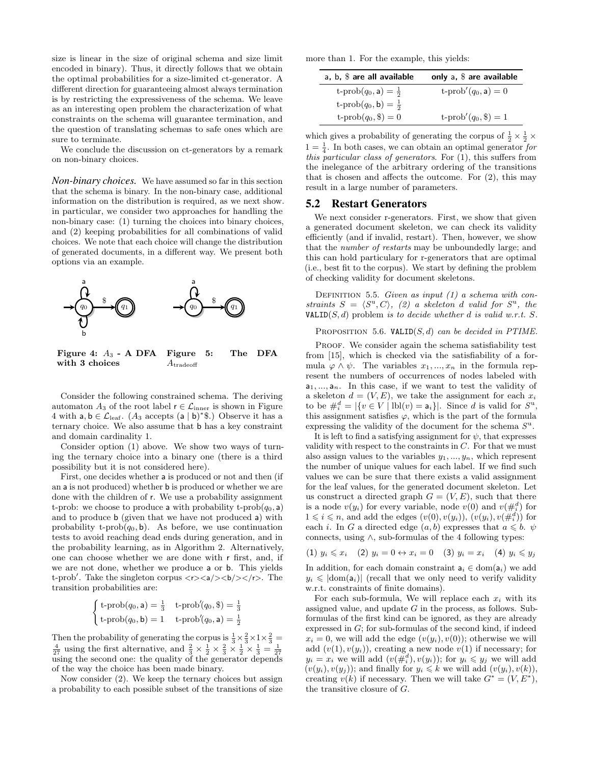size is linear in the size of original schema and size limit encoded in binary). Thus, it directly follows that we obtain the optimal probabilities for a size-limited ct-generator. A different direction for guaranteeing almost always termination is by restricting the expressiveness of the schema. We leave as an interesting open problem the characterization of what constraints on the schema will guarantee termination, and the question of translating schemas to safe ones which are sure to terminate.

We conclude the discussion on ct-generators by a remark on non-binary choices.

*Non-binary choices.* We have assumed so far in this section that the schema is binary. In the non-binary case, additional information on the distribution is required, as we next show. in particular, we consider two approaches for handling the non-binary case: (1) turning the choices into binary choices, and (2) keeping probabilities for all combinations of valid choices. We note that each choice will change the distribution of generated documents, in a different way. We present both options via an example.



<span id="page-8-1"></span>Figure 4:  $A_3$  - A DFA with 3 choices Figure 5: The DFA  $A_{\rm tradeoff}$ 

Consider the following constrained schema. The deriving automaton  $A_3$  of the root label  $r \in \mathcal{L}_{inner}$  is shown in Figure [4](#page-8-1) with  $a, b \in \mathcal{L}_{\text{leaf}}$ . (A<sub>3</sub> accepts  $(a | b)^*$ \$.) Observe it has a ternary choice. We also assume that b has a key constraint and domain cardinality 1.

Consider option (1) above. We show two ways of turning the ternary choice into a binary one (there is a third possibility but it is not considered here).

First, one decides whether a is produced or not and then (if an a is not produced) whether b is produced or whether we are done with the children of r. We use a probability assignment t-prob: we choose to produce a with probability t-prob $(q_0, a)$ and to produce b (given that we have not produced a) with probability t-prob( $q_0$ , b). As before, we use continuation tests to avoid reaching dead ends during generation, and in the probability learning, as in Algorithm [2.](#page-7-0) Alternatively, one can choose whether we are done with r first, and, if we are not done, whether we produce a or b. This yields t-prob'. Take the singleton corpus  $\langle r \rangle \langle a / \rangle \langle b / \rangle \langle r \rangle$ . The transition probabilities are:

$$
\begin{cases} \text{t-prob}(q_0, \mathsf{a}) = \frac{1}{3} & \text{t-prob}'(q_0, \$) = \frac{1}{3} \\ \text{t-prob}(q_0, \mathsf{b}) = 1 & \text{t-prob}'(q_0, \mathsf{a}) = \frac{1}{2} \end{cases}
$$

Then the probability of generating the corpus is  $\frac{1}{3} \times \frac{2}{3} \times 1 \times \frac{2}{3} =$  $\frac{4}{27}$  using the first alternative, and  $\frac{2}{3} \times \frac{1}{2} \times \frac{2}{3} \times \frac{1}{2} \times \frac{1}{3} = \frac{1}{27}$ <br>using the second one: the quality of the generator depends of the way the choice has been made binary.

Now consider (2). We keep the ternary choices but assign a probability to each possible subset of the transitions of size

more than 1. For the example, this yields:

| a, $b,$ $\frac{6}{3}$ are all available        | only $a, \, \hat{\mathbb{S}}$ are available |
|------------------------------------------------|---------------------------------------------|
| $\text{t-prob}(q_0, \mathsf{a}) = \frac{1}{2}$ | $t\text{-prob}'(q_0, \mathsf{a})=0$         |
| t-prob( $q_0, b$ ) = $\frac{1}{2}$             |                                             |
| $t\text{-prob}(q_0,\$)=0$                      | $t\text{-prob}'(q_0,\$)=1$                  |

which gives a probability of generating the corpus of  $\frac{1}{2} \times \frac{1}{2} \times$  $1 = \frac{1}{4}$ . In both cases, we can obtain an optimal generator for this particular class of generators. For (1), this suffers from the inelegance of the arbitrary ordering of the transitions that is chosen and affects the outcome. For (2), this may result in a large number of parameters.

#### <span id="page-8-0"></span>5.2 Restart Generators

We next consider r-generators. First, we show that given a generated document skeleton, we can check its validity efficiently (and if invalid, restart). Then, however, we show that the number of restarts may be unboundedly large; and this can hold particulary for r-generators that are optimal (i.e., best fit to the corpus). We start by defining the problem of checking validity for document skeletons.

DEFINITION 5.5. Given as input  $(1)$  a schema with constraints  $S = \langle S^u, C \rangle$ , (2) a skeleton d valid for  $S^u$ , the VALID $(S, d)$  problem is to decide whether d is valid w.r.t. S.

#### <span id="page-8-3"></span>PROPOSITION 5.6. VALID $(S, d)$  can be decided in PTIME.

<span id="page-8-2"></span>PROOF. We consider again the schema satisfiability test from [\[15\]](#page-11-2), which is checked via the satisfiability of a formula  $\varphi \wedge \psi$ . The variables  $x_1, ..., x_n$  in the formula represent the numbers of occurrences of nodes labeled with  $a_1, \ldots, a_n$ . In this case, if we want to test the validity of a skeleton  $d = (V, E)$ , we take the assignment for each  $x_i$ to be  $\#_i^d = |\{v \in V \mid \text{lb}(v) = \mathsf{a}_i\}|$ . Since d is valid for  $S^u$ , this assignment satisfies  $\varphi$ , which is the part of the formula expressing the validity of the document for the schema  $S^u$ .

It is left to find a satisfying assignment for  $\psi$ , that expresses validity with respect to the constraints in  $C$ . For that we must also assign values to the variables  $y_1, ..., y_n$ , which represent the number of unique values for each label. If we find such values we can be sure that there exists a valid assignment for the leaf values, for the generated document skeleton. Let us construct a directed graph  $G = (V, E)$ , such that there is a node  $v(y_i)$  for every variable, node  $v(0)$  and  $v(\#_i^d)$  for  $1 \leqslant i \leqslant n$ , and add the edges  $(v(0), v(y_i)), (v(y_i), v(\#_i^d))$  for each *i*. In G a directed edge  $(a, b)$  expresses that  $a \leq b$ .  $\psi$ connects, using ∧, sub-formulas of the 4 following types:

(1) 
$$
y_i \le x_i
$$
 (2)  $y_i = 0 \leftrightarrow x_i = 0$  (3)  $y_i = x_i$  (4)  $y_i \le y_j$ 

In addition, for each domain constraint  $a_i \in \text{dom}(a_i)$  we add  $y_i \leq \text{dom}(\mathsf{a}_i)$  (recall that we only need to verify validity w.r.t. constraints of finite domains).

For each sub-formula, We will replace each  $x_i$  with its assigned value, and update  $G$  in the process, as follows. Subformulas of the first kind can be ignored, as they are already expressed in G; for sub-formulas of the second kind, if indeed  $x_i = 0$ , we will add the edge  $(v(y_i), v(0))$ ; otherwise we will add  $(v(1), v(y_i))$ , creating a new node  $v(1)$  if necessary; for  $y_i = x_i$  we will add  $(v(\neq_i^d), v(y_i));$  for  $y_i \leq y_j$  we will add  $(v(y_i), v(y_j))$ ; and finally for  $y_i \leq k$  we will add  $(v(y_i), v(k))$ , creating  $v(k)$  if necessary. Then we will take  $G^* = (V, E^*),$ the transitive closure of G.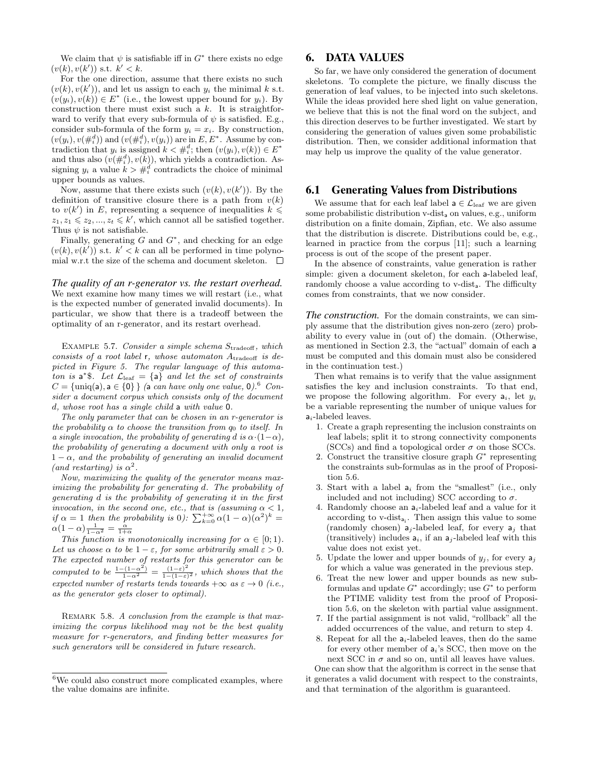We claim that  $\psi$  is satisfiable iff in  $G^*$  there exists no edge  $(v(k), v(k'))$  s.t.  $k' < k$ .

For the one direction, assume that there exists no such  $(v(k), v(k'))$ , and let us assign to each  $y_i$  the minimal k s.t.  $(v(y_i), v(k)) \in E^*$  (i.e., the lowest upper bound for  $y_i$ ). By construction there must exist such a  $k$ . It is straightforward to verify that every sub-formula of  $\psi$  is satisfied. E.g., consider sub-formula of the form  $y_i = x_i$ . By construction,  $(v(y_i), v(\#_i^d))$  and  $(v(\#_i^d), v(y_i))$  are in  $E, E^*$ . Assume by contradiction that  $y_i$  is assigned  $k < \#_i^d$ ; then  $(v(y_i), v(k)) \in E^*$ and thus also  $(v(\#_i^d), v(k))$ , which yields a contradiction. Assigning  $y_i$  a value  $k > \frac{d}{dt}$  contradicts the choice of minimal upper bounds as values.

Now, assume that there exists such  $(v(k), v(k'))$ . By the definition of transitive closure there is a path from  $v(k)$ to  $v(k')$  in E, representing a sequence of inequalities  $k \leq$  $z_1, z_1 \leqslant z_2, ..., z_t \leqslant k'$ , which cannot all be satisfied together. Thus  $\psi$  is not satisfiable.

Finally, generating  $G$  and  $G^*$ , and checking for an edge  $(v(k), v(k'))$  s.t.  $k' < k$  can all be performed in time polynomial w.r.t the size of the schema and document skeleton.  $\Box$ 

*The quality of an r-generator vs. the restart overhead.* We next examine how many times we will restart (i.e., what is the expected number of generated invalid documents). In particular, we show that there is a tradeoff between the optimality of an r-generator, and its restart overhead.

EXAMPLE 5.7. Consider a simple schema  $S_{\text{tradeoff}}$ , which consists of a root label r, whose automaton  $A_{\text{tradeoff}}$  is depicted in Figure [5.](#page-8-2) The regular language of this automaton is a<sup>\*</sup>\$. Let  $\mathcal{L}_{\text{leaf}} = \{a\}$  and let the set of constraints  $C = \{ \text{uniq}(a), a \in \{0\} \}$  (a can have only one value, 0).<sup>[6](#page-9-2)</sup> Consider a document corpus which consists only of the document d, whose root has a single child a with value 0.

The only parameter that can be chosen in an r-generator is the probability  $\alpha$  to choose the transition from  $q_0$  to itself. In a single invocation, the probability of generating d is  $\alpha \cdot (1-\alpha)$ , the probability of generating a document with only a root is  $1 - \alpha$ , and the probability of generating an invalid document (and restarting) is  $\alpha^2$ .

Now, maximizing the quality of the generator means maximizing the probability for generating d. The probability of generating d is the probability of generating it in the first invocation, in the second one, etc., that is (assuming  $\alpha < 1$ , if  $\alpha = 1$  then the probability is 0):  $\sum_{k=0}^{+\infty} \alpha(1-\alpha)(\alpha^2)^k =$  $\alpha(1-\alpha)\frac{1}{1-\alpha^2}=\frac{\alpha}{1+\alpha}$ 

This function is monotonically increasing for  $\alpha \in [0,1)$ . Let us choose  $\alpha$  to be  $1 - \varepsilon$ , for some arbitrarily small  $\varepsilon > 0$ . The expected number of restarts for this generator can be computed to be  $\frac{1-(1-\alpha^2)}{1-\alpha^2} = \frac{(1-\varepsilon)^2}{1-(1-\varepsilon)}$  $\frac{(1-\varepsilon)^2}{1-(1-\varepsilon)^2}$ , which shows that the expected number of restarts tends towards  $+\infty$  as  $\varepsilon \to 0$  (i.e., as the generator gets closer to optimal).

REMARK 5.8. A conclusion from the example is that maximizing the corpus likelihood may not be the best quality measure for r-generators, and finding better measures for such generators will be considered in future research.

# <span id="page-9-0"></span>6. DATA VALUES

So far, we have only considered the generation of document skeletons. To complete the picture, we finally discuss the generation of leaf values, to be injected into such skeletons. While the ideas provided here shed light on value generation, we believe that this is not the final word on the subject, and this direction deserves to be further investigated. We start by considering the generation of values given some probabilistic distribution. Then, we consider additional information that may help us improve the quality of the value generator.

#### <span id="page-9-1"></span>6.1 Generating Values from Distributions

We assume that for each leaf label  $a \in \mathcal{L}_{\text{leaf}}$  we are given some probabilistic distribution v-dist<sup>a</sup> on values, e.g., uniform distribution on a finite domain, Zipfian, etc. We also assume that the distribution is discrete. Distributions could be, e.g., learned in practice from the corpus [\[11\]](#page-11-4); such a learning process is out of the scope of the present paper.

In the absence of constraints, value generation is rather simple: given a document skeleton, for each a-labeled leaf, randomly choose a value according to  $v$ -dist<sub>a</sub>. The difficulty comes from constraints, that we now consider.

*The construction.* For the domain constraints, we can simply assume that the distribution gives non-zero (zero) probability to every value in (out of) the domain. (Otherwise, as mentioned in Section [2.3,](#page-3-1) the "actual" domain of each a must be computed and this domain must also be considered in the continuation test.)

Then what remains is to verify that the value assignment satisfies the key and inclusion constraints. To that end, we propose the following algorithm. For every  $a_i$ , let  $y_i$ be a variable representing the number of unique values for  $a_i$ -labeled leaves.

- 1. Create a graph representing the inclusion constraints on leaf labels; split it to strong connectivity components (SCCs) and find a topological order  $\sigma$  on those SCCs.
- 2. Construct the transitive closure graph  $G^*$  representing the constraints sub-formulas as in the proof of Proposition [5.6.](#page-8-3)
- 3. Start with a label  $a_i$  from the "smallest" (i.e., only included and not including) SCC according to  $\sigma$ .
- 4. Randomly choose an  $a_i$ -labeled leaf and a value for it according to  $v$ -dist<sub>a<sub>i</sub></sub>. Then assign this value to some (randomly chosen)  $a_i$ -labeled leaf, for every  $a_i$  that (transitively) includes  $a_i$ , if an  $a_j$ -labeled leaf with this value does not exist yet.
- 5. Update the lower and upper bounds of  $y_i$ , for every  $a_i$ for which a value was generated in the previous step.
- 6. Treat the new lower and upper bounds as new subformulas and update  $G^*$  accordingly; use  $G^*$  to perform the PTIME validity test from the proof of Proposition [5.6,](#page-8-3) on the skeleton with partial value assignment.
- 7. If the partial assignment is not valid, "rollback" all the added occurrences of the value, and return to step 4.
- 8. Repeat for all the  $a_i$ -labeled leaves, then do the same for every other member of  $a_i$ 's SCC, then move on the next SCC in  $\sigma$  and so on, until all leaves have values.

One can show that the algorithm is correct in the sense that it generates a valid document with respect to the constraints, and that termination of the algorithm is guaranteed.

<span id="page-9-2"></span> $6$ We could also construct more complicated examples, where the value domains are infinite.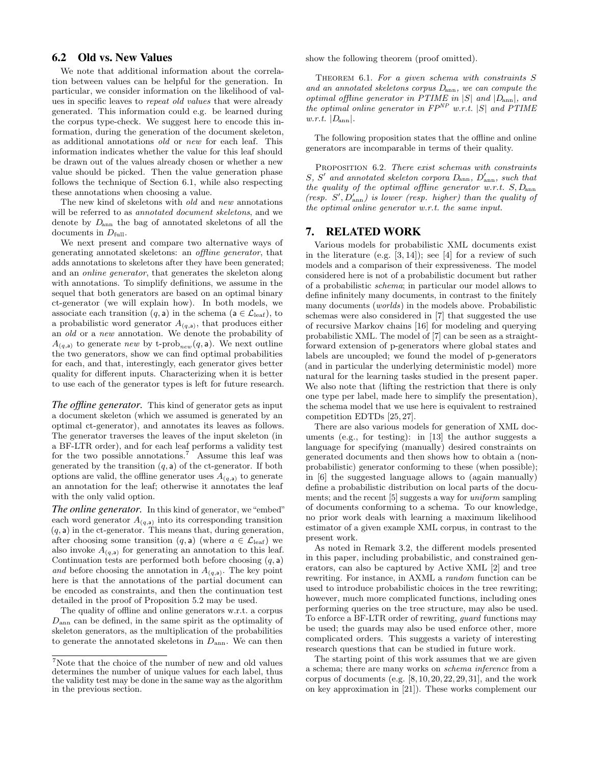# <span id="page-10-1"></span>6.2 Old vs. New Values

We note that additional information about the correlation between values can be helpful for the generation. In particular, we consider information on the likelihood of values in specific leaves to repeat old values that were already generated. This information could e.g. be learned during the corpus type-check. We suggest here to encode this information, during the generation of the document skeleton, as additional annotations old or new for each leaf. This information indicates whether the value for this leaf should be drawn out of the values already chosen or whether a new value should be picked. Then the value generation phase follows the technique of Section [6.1,](#page-9-1) while also respecting these annotations when choosing a value.

The new kind of skeletons with old and new annotations will be referred to as annotated document skeletons, and we denote by Dann the bag of annotated skeletons of all the documents in  $D_{\text{full}}$ .

We next present and compare two alternative ways of generating annotated skeletons: an offline generator, that adds annotations to skeletons after they have been generated; and an online generator, that generates the skeleton along with annotations. To simplify definitions, we assume in the sequel that both generators are based on an optimal binary ct-generator (we will explain how). In both models, we associate each transition  $(q, a)$  in the schema ( $a \in \mathcal{L}_{\text{leaf}}$ ), to a probabilistic word generator  $A_{(q,a)}$ , that produces either an old or a new annotation. We denote the probability of  $A_{(q,\mathsf{a})}$  to generate new by t-prob<sub>new</sub>  $(q,\mathsf{a})$ . We next outline the two generators, show we can find optimal probabilities for each, and that, interestingly, each generator gives better quality for different inputs. Characterizing when it is better to use each of the generator types is left for future research.

*The offline generator.* This kind of generator gets as input a document skeleton (which we assumed is generated by an optimal ct-generator), and annotates its leaves as follows. The generator traverses the leaves of the input skeleton (in a BF-LTR order), and for each leaf performs a validity test for the two possible annotations.<sup>[7](#page-10-2)</sup> Assume this leaf was generated by the transition  $(q, a)$  of the ct-generator. If both options are valid, the offline generator uses  $A_{(q,a)}$  to generate an annotation for the leaf; otherwise it annotates the leaf with the only valid option.

*The online generator.* In this kind of generator, we "embed" each word generator  $A_{(q,a)}$  into its corresponding transition  $(q, a)$  in the ct-generator. This means that, during generation, after choosing some transition  $(q, a)$  (where  $a \in \mathcal{L}_{\text{leaf}}$ ) we also invoke  $A_{(q,a)}$  for generating an annotation to this leaf. Continuation tests are performed both before choosing  $(q, a)$ and before choosing the annotation in  $A_{(q,a)}$ . The key point here is that the annotations of the partial document can be encoded as constraints, and then the continuation test detailed in the proof of Proposition [5.2](#page-6-5) may be used.

The quality of offline and online generators w.r.t. a corpus  $D_{\text{ann}}$  can be defined, in the same spirit as the optimality of skeleton generators, as the multiplication of the probabilities to generate the annotated skeletons in  $D_{\text{ann}}$ . We can then show the following theorem (proof omitted).

THEOREM  $6.1.$  For a given schema with constraints  $S$ and an annotated skeletons corpus Dann, we can compute the optimal offline generator in PTIME in  $|S|$  and  $|D_{\text{ann}}|$ , and the optimal online generator in  $FP^{NP}$  w.r.t.  $|S|$  and  $PTIME$  $w.r.t.$   $|D_{\text{ann}}|$ .

The following proposition states that the offline and online generators are incomparable in terms of their quality.

PROPOSITION 6.2. There exist schemas with constraints  $S, S'$  and annotated skeleton corpora  $D_{ann}$ ,  $D'_{ann}$ , such that the quality of the optimal offline generator w.r.t.  $S, D_{\text{ann}}$ (resp.  $S', D'_{ann}$ ) is lower (resp. higher) than the quality of the optimal online generator w.r.t. the same input.

#### <span id="page-10-0"></span>7. RELATED WORK

Various models for probabilistic XML documents exist in the literature (e.g.  $[3, 14]$  $[3, 14]$ ); see  $[4]$  for a review of such models and a comparison of their expressiveness. The model considered here is not of a probabilistic document but rather of a probabilistic schema; in particular our model allows to define infinitely many documents, in contrast to the finitely many documents (worlds) in the models above. Probabilistic schemas were also considered in [\[7\]](#page-11-10) that suggested the use of recursive Markov chains [\[16\]](#page-11-11) for modeling and querying probabilistic XML. The model of [\[7\]](#page-11-10) can be seen as a straightforward extension of p-generators where global states and labels are uncoupled; we found the model of p-generators (and in particular the underlying deterministic model) more natural for the learning tasks studied in the present paper. We also note that (lifting the restriction that there is only one type per label, made here to simplify the presentation), the schema model that we use here is equivalent to restrained competition EDTDs [\[25,](#page-12-11) [27\]](#page-12-12).

There are also various models for generation of XML documents (e.g., for testing): in [\[13\]](#page-11-12) the author suggests a language for specifying (manually) desired constraints on generated documents and then shows how to obtain a (nonprobabilistic) generator conforming to these (when possible); in [\[6\]](#page-11-13) the suggested language allows to (again manually) define a probabilistic distribution on local parts of the documents; and the recent [\[5\]](#page-11-6) suggests a way for uniform sampling of documents conforming to a schema. To our knowledge, no prior work deals with learning a maximum likelihood estimator of a given example XML corpus, in contrast to the present work.

As noted in Remark [3.2,](#page-3-5) the different models presented in this paper, including probabilistic, and constrained generators, can also be captured by Active XML [\[2\]](#page-11-14) and tree rewriting. For instance, in AXML a random function can be used to introduce probabilistic choices in the tree rewriting; however, much more complicated functions, including ones performing queries on the tree structure, may also be used. To enforce a BF-LTR order of rewriting, guard functions may be used; the guards may also be used enforce other, more complicated orders. This suggests a variety of interesting research questions that can be studied in future work.

The starting point of this work assumes that we are given a schema; there are many works on schema inference from a corpus of documents (e.g. [\[8,](#page-11-15) [10,](#page-11-16) [20,](#page-12-13) [22,](#page-12-2) [29,](#page-12-3) [31\]](#page-12-4), and the work on key approximation in [\[21\]](#page-12-1)). These works complement our

<span id="page-10-2"></span> $7\rm{Note}$  that the choice of the number of new and old values determines the number of unique values for each label, thus the validity test may be done in the same way as the algorithm in the previous section.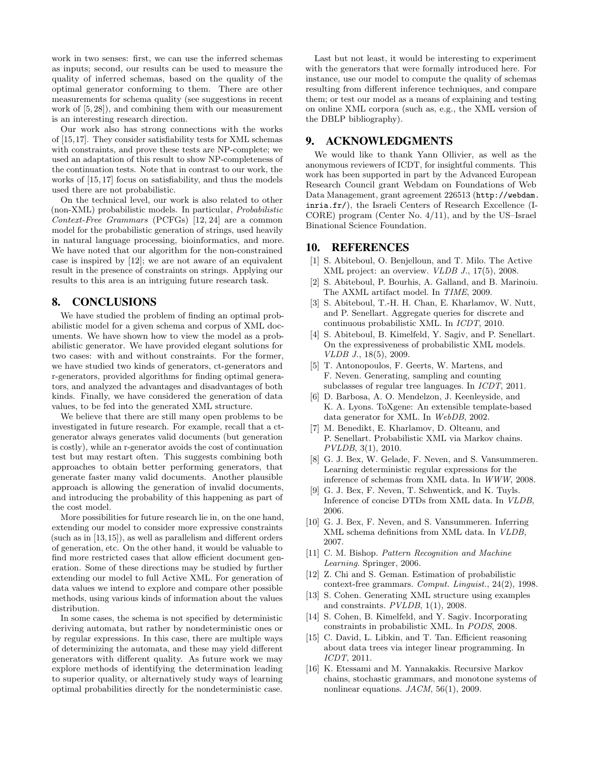work in two senses: first, we can use the inferred schemas as inputs; second, our results can be used to measure the quality of inferred schemas, based on the quality of the optimal generator conforming to them. There are other measurements for schema quality (see suggestions in recent work of [\[5,](#page-11-6) [28\]](#page-12-5)), and combining them with our measurement is an interesting research direction.

Our work also has strong connections with the works of [\[15,](#page-11-2)[17\]](#page-12-10). They consider satisfiability tests for XML schemas with constraints, and prove these tests are NP-complete; we used an adaptation of this result to show NP-completeness of the continuation tests. Note that in contrast to our work, the works of [\[15,](#page-11-2) [17\]](#page-12-10) focus on satisfiability, and thus the models used there are not probabilistic.

On the technical level, our work is also related to other (non-XML) probabilistic models. In particular, Probabilistic Context-Free Grammars (PCFGs) [\[12,](#page-11-5) [24\]](#page-12-14) are a common model for the probabilistic generation of strings, used heavily in natural language processing, bioinformatics, and more. We have noted that our algorithm for the non-constrained case is inspired by [\[12\]](#page-11-5); we are not aware of an equivalent result in the presence of constraints on strings. Applying our results to this area is an intriguing future research task.

# <span id="page-11-3"></span>8. CONCLUSIONS

We have studied the problem of finding an optimal probabilistic model for a given schema and corpus of XML documents. We have shown how to view the model as a probabilistic generator. We have provided elegant solutions for two cases: with and without constraints. For the former, we have studied two kinds of generators, ct-generators and r-generators, provided algorithms for finding optimal generators, and analyzed the advantages and disadvantages of both kinds. Finally, we have considered the generation of data values, to be fed into the generated XML structure.

We believe that there are still many open problems to be investigated in future research. For example, recall that a ctgenerator always generates valid documents (but generation is costly), while an r-generator avoids the cost of continuation test but may restart often. This suggests combining both approaches to obtain better performing generators, that generate faster many valid documents. Another plausible approach is allowing the generation of invalid documents, and introducing the probability of this happening as part of the cost model.

More possibilities for future research lie in, on the one hand, extending our model to consider more expressive constraints (such as in [\[13,](#page-11-12)[15\]](#page-11-2)), as well as parallelism and different orders of generation, etc. On the other hand, it would be valuable to find more restricted cases that allow efficient document generation. Some of these directions may be studied by further extending our model to full Active XML. For generation of data values we intend to explore and compare other possible methods, using various kinds of information about the values distribution.

In some cases, the schema is not specified by deterministic deriving automata, but rather by nondeterministic ones or by regular expressions. In this case, there are multiple ways of determinizing the automata, and these may yield different generators with different quality. As future work we may explore methods of identifying the determination leading to superior quality, or alternatively study ways of learning optimal probabilities directly for the nondeterministic case.

Last but not least, it would be interesting to experiment with the generators that were formally introduced here. For instance, use our model to compute the quality of schemas resulting from different inference techniques, and compare them; or test our model as a means of explaining and testing on online XML corpora (such as, e.g., the XML version of the DBLP bibliography).

# 9. ACKNOWLEDGMENTS

We would like to thank Yann Ollivier, as well as the anonymous reviewers of ICDT, for insightful comments. This work has been supported in part by the Advanced European Research Council grant Webdam on Foundations of Web Data Management, grant agreement 226513 ([http://webdam.](http://webdam.inria.fr/) [inria.fr/](http://webdam.inria.fr/)), the Israeli Centers of Research Excellence (I-CORE) program (Center No. 4/11), and by the US–Israel Binational Science Foundation.

# 10. REFERENCES

- <span id="page-11-1"></span>[1] S. Abiteboul, O. Benjelloun, and T. Milo. The Active XML project: an overview. VLDB J., 17(5), 2008.
- <span id="page-11-14"></span>[2] S. Abiteboul, P. Bourhis, A. Galland, and B. Marinoiu. The AXML artifact model. In TIME, 2009.
- <span id="page-11-7"></span>[3] S. Abiteboul, T.-H. H. Chan, E. Kharlamov, W. Nutt, and P. Senellart. Aggregate queries for discrete and continuous probabilistic XML. In ICDT, 2010.
- <span id="page-11-9"></span>[4] S. Abiteboul, B. Kimelfeld, Y. Sagiv, and P. Senellart. On the expressiveness of probabilistic XML models. VLDB J., 18(5), 2009.
- <span id="page-11-6"></span>[5] T. Antonopoulos, F. Geerts, W. Martens, and F. Neven. Generating, sampling and counting subclasses of regular tree languages. In ICDT, 2011.
- <span id="page-11-13"></span>[6] D. Barbosa, A. O. Mendelzon, J. Keenleyside, and K. A. Lyons. ToXgene: An extensible template-based data generator for XML. In WebDB, 2002.
- <span id="page-11-10"></span>[7] M. Benedikt, E. Kharlamov, D. Olteanu, and P. Senellart. Probabilistic XML via Markov chains. PVLDB, 3(1), 2010.
- <span id="page-11-15"></span>[8] G. J. Bex, W. Gelade, F. Neven, and S. Vansummeren. Learning deterministic regular expressions for the inference of schemas from XML data. In WWW, 2008.
- <span id="page-11-0"></span>[9] G. J. Bex, F. Neven, T. Schwentick, and K. Tuyls. Inference of concise DTDs from XML data. In VLDB, 2006.
- <span id="page-11-16"></span>[10] G. J. Bex, F. Neven, and S. Vansummeren. Inferring XML schema definitions from XML data. In VLDB, 2007.
- <span id="page-11-4"></span>[11] C. M. Bishop. Pattern Recognition and Machine Learning. Springer, 2006.
- <span id="page-11-5"></span>[12] Z. Chi and S. Geman. Estimation of probabilistic context-free grammars. Comput. Linguist., 24(2), 1998.
- <span id="page-11-12"></span>[13] S. Cohen. Generating XML structure using examples and constraints. PVLDB, 1(1), 2008.
- <span id="page-11-8"></span>[14] S. Cohen, B. Kimelfeld, and Y. Sagiv. Incorporating constraints in probabilistic XML. In PODS, 2008.
- <span id="page-11-2"></span>[15] C. David, L. Libkin, and T. Tan. Efficient reasoning about data trees via integer linear programming. In ICDT, 2011.
- <span id="page-11-11"></span>[16] K. Etessami and M. Yannakakis. Recursive Markov chains, stochastic grammars, and monotone systems of nonlinear equations.  $JACM$ , 56(1), 2009.